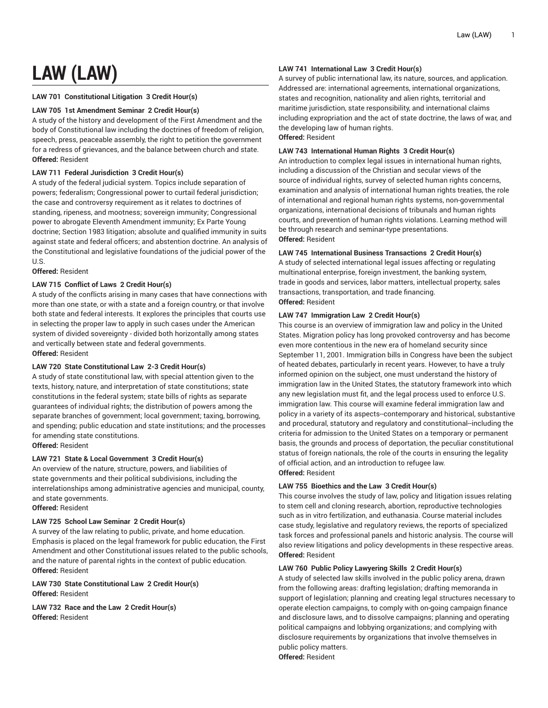# **LAW (LAW)**

# **LAW 701 Constitutional Litigation 3 Credit Hour(s)**

## **LAW 705 1st Amendment Seminar 2 Credit Hour(s)**

A study of the history and development of the First Amendment and the body of Constitutional law including the doctrines of freedom of religion, speech, press, peaceable assembly, the right to petition the government for a redress of grievances, and the balance between church and state. **Offered:** Resident

# **LAW 711 Federal Jurisdiction 3 Credit Hour(s)**

A study of the federal judicial system. Topics include separation of powers; federalism; Congressional power to curtail federal jurisdiction; the case and controversy requirement as it relates to doctrines of standing, ripeness, and mootness; sovereign immunity; Congressional power to abrogate Eleventh Amendment immunity; Ex Parte Young doctrine; Section 1983 litigation; absolute and qualified immunity in suits against state and federal officers; and abstention doctrine. An analysis of the Constitutional and legislative foundations of the judicial power of the U.S.

#### **Offered:** Resident

# **LAW 715 Conflict of Laws 2 Credit Hour(s)**

A study of the conflicts arising in many cases that have connections with more than one state, or with a state and a foreign country, or that involve both state and federal interests. It explores the principles that courts use in selecting the proper law to apply in such cases under the American system of divided sovereignty - divided both horizontally among states and vertically between state and federal governments. **Offered:** Resident

# **LAW 720 State Constitutional Law 2-3 Credit Hour(s)**

A study of state constitutional law, with special attention given to the texts, history, nature, and interpretation of state constitutions; state constitutions in the federal system; state bills of rights as separate guarantees of individual rights; the distribution of powers among the separate branches of government; local government; taxing, borrowing, and spending; public education and state institutions; and the processes for amending state constitutions. **Offered:** Resident

**LAW 721 State & Local Government 3 Credit Hour(s)**

An overview of the nature, structure, powers, and liabilities of state governments and their political subdivisions, including the interrelationships among administrative agencies and municipal, county, and state governments.

**Offered:** Resident

# **LAW 725 School Law Seminar 2 Credit Hour(s)**

A survey of the law relating to public, private, and home education. Emphasis is placed on the legal framework for public education, the First Amendment and other Constitutional issues related to the public schools, and the nature of parental rights in the context of public education. **Offered:** Resident

**LAW 730 State Constitutional Law 2 Credit Hour(s) Offered:** Resident

**LAW 732 Race and the Law 2 Credit Hour(s) Offered:** Resident

#### **LAW 741 International Law 3 Credit Hour(s)**

A survey of public international law, its nature, sources, and application. Addressed are: international agreements, international organizations, states and recognition, nationality and alien rights, territorial and maritime jurisdiction, state responsibility, and international claims including expropriation and the act of state doctrine, the laws of war, and the developing law of human rights. **Offered:** Resident

#### **LAW 743 International Human Rights 3 Credit Hour(s)**

An introduction to complex legal issues in international human rights, including a discussion of the Christian and secular views of the source of individual rights, survey of selected human rights concerns, examination and analysis of international human rights treaties, the role of international and regional human rights systems, non-governmental organizations, international decisions of tribunals and human rights courts, and prevention of human rights violations. Learning method will be through research and seminar-type presentations. **Offered:** Resident

## **LAW 745 International Business Transactions 2 Credit Hour(s)**

A study of selected international legal issues affecting or regulating multinational enterprise, foreign investment, the banking system, trade in goods and services, labor matters, intellectual property, sales transactions, transportation, and trade financing. **Offered:** Resident

## **LAW 747 Immigration Law 2 Credit Hour(s)**

This course is an overview of immigration law and policy in the United States. Migration policy has long provoked controversy and has become even more contentious in the new era of homeland security since September 11, 2001. Immigration bills in Congress have been the subject of heated debates, particularly in recent years. However, to have a truly informed opinion on the subject, one must understand the history of immigration law in the United States, the statutory framework into which any new legislation must fit, and the legal process used to enforce U.S. immigration law. This course will examine federal immigration law and policy in a variety of its aspects--contemporary and historical, substantive and procedural, statutory and regulatory and constitutional--including the criteria for admission to the United States on a temporary or permanent basis, the grounds and process of deportation, the peculiar constitutional status of foreign nationals, the role of the courts in ensuring the legality of official action, and an introduction to refugee law. **Offered:** Resident

#### **LAW 755 Bioethics and the Law 3 Credit Hour(s)**

This course involves the study of law, policy and litigation issues relating to stem cell and cloning research, abortion, reproductive technologies such as in vitro fertilization, and euthanasia. Course material includes case study, legislative and regulatory reviews, the reports of specialized task forces and professional panels and historic analysis. The course will also review litigations and policy developments in these respective areas. **Offered:** Resident

## **LAW 760 Public Policy Lawyering Skills 2 Credit Hour(s)**

A study of selected law skills involved in the public policy arena, drawn from the following areas: drafting legislation; drafting memoranda in support of legislation; planning and creating legal structures necessary to operate election campaigns, to comply with on-going campaign finance and disclosure laws, and to dissolve campaigns; planning and operating political campaigns and lobbying organizations; and complying with disclosure requirements by organizations that involve themselves in public policy matters.

**Offered:** Resident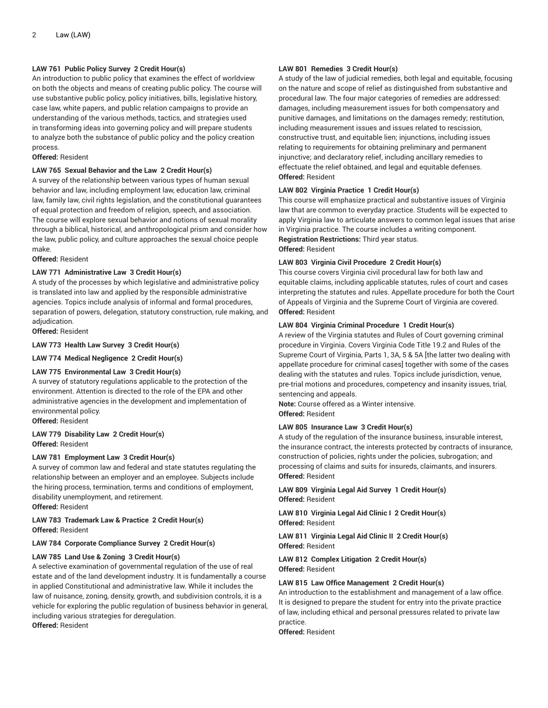# **LAW 761 Public Policy Survey 2 Credit Hour(s)**

An introduction to public policy that examines the effect of worldview on both the objects and means of creating public policy. The course will use substantive public policy, policy initiatives, bills, legislative history, case law, white papers, and public relation campaigns to provide an understanding of the various methods, tactics, and strategies used in transforming ideas into governing policy and will prepare students to analyze both the substance of public policy and the policy creation process.

#### **Offered:** Resident

#### **LAW 765 Sexual Behavior and the Law 2 Credit Hour(s)**

A survey of the relationship between various types of human sexual behavior and law, including employment law, education law, criminal law, family law, civil rights legislation, and the constitutional guarantees of equal protection and freedom of religion, speech, and association. The course will explore sexual behavior and notions of sexual morality through a biblical, historical, and anthropological prism and consider how the law, public policy, and culture approaches the sexual choice people make.

**Offered:** Resident

#### **LAW 771 Administrative Law 3 Credit Hour(s)**

A study of the processes by which legislative and administrative policy is translated into law and applied by the responsible administrative agencies. Topics include analysis of informal and formal procedures, separation of powers, delegation, statutory construction, rule making, and adjudication.

**Offered:** Resident

#### **LAW 773 Health Law Survey 3 Credit Hour(s)**

**LAW 774 Medical Negligence 2 Credit Hour(s)**

#### **LAW 775 Environmental Law 3 Credit Hour(s)**

A survey of statutory regulations applicable to the protection of the environment. Attention is directed to the role of the EPA and other administrative agencies in the development and implementation of environmental policy.

**Offered:** Resident

**LAW 779 Disability Law 2 Credit Hour(s) Offered:** Resident

#### **LAW 781 Employment Law 3 Credit Hour(s)**

A survey of common law and federal and state statutes regulating the relationship between an employer and an employee. Subjects include the hiring process, termination, terms and conditions of employment, disability unemployment, and retirement.

**Offered:** Resident

# **LAW 783 Trademark Law & Practice 2 Credit Hour(s) Offered:** Resident

#### **LAW 784 Corporate Compliance Survey 2 Credit Hour(s)**

#### **LAW 785 Land Use & Zoning 3 Credit Hour(s)**

A selective examination of governmental regulation of the use of real estate and of the land development industry. It is fundamentally a course in applied Constitutional and administrative law. While it includes the law of nuisance, zoning, density, growth, and subdivision controls, it is a vehicle for exploring the public regulation of business behavior in general, including various strategies for deregulation.

**Offered:** Resident

#### **LAW 801 Remedies 3 Credit Hour(s)**

A study of the law of judicial remedies, both legal and equitable, focusing on the nature and scope of relief as distinguished from substantive and procedural law. The four major categories of remedies are addressed: damages, including measurement issues for both compensatory and punitive damages, and limitations on the damages remedy; restitution, including measurement issues and issues related to rescission, constructive trust, and equitable lien; injunctions, including issues relating to requirements for obtaining preliminary and permanent injunctive; and declaratory relief, including ancillary remedies to effectuate the relief obtained, and legal and equitable defenses. **Offered:** Resident

#### **LAW 802 Virginia Practice 1 Credit Hour(s)**

This course will emphasize practical and substantive issues of Virginia law that are common to everyday practice. Students will be expected to apply Virginia law to articulate answers to common legal issues that arise in Virginia practice. The course includes a writing component. **Registration Restrictions:** Third year status. **Offered:** Resident

#### **LAW 803 Virginia Civil Procedure 2 Credit Hour(s)**

This course covers Virginia civil procedural law for both law and equitable claims, including applicable statutes, rules of court and cases interpreting the statutes and rules. Appellate procedure for both the Court of Appeals of Virginia and the Supreme Court of Virginia are covered. **Offered:** Resident

#### **LAW 804 Virginia Criminal Procedure 1 Credit Hour(s)**

A review of the Virginia statutes and Rules of Court governing criminal procedure in Virginia. Covers Virginia Code Title 19.2 and Rules of the Supreme Court of Virginia, Parts 1, 3A, 5 & 5A [the latter two dealing with appellate procedure for criminal cases] together with some of the cases dealing with the statutes and rules. Topics include jurisdiction, venue, pre-trial motions and procedures, competency and insanity issues, trial, sentencing and appeals.

**Note:** Course offered as a Winter intensive. **Offered:** Resident

#### **LAW 805 Insurance Law 3 Credit Hour(s)**

A study of the regulation of the insurance business, insurable interest, the insurance contract, the interests protected by contracts of insurance, construction of policies, rights under the policies, subrogation; and processing of claims and suits for insureds, claimants, and insurers. **Offered:** Resident

## **LAW 809 Virginia Legal Aid Survey 1 Credit Hour(s) Offered:** Resident

**LAW 810 Virginia Legal Aid Clinic I 2 Credit Hour(s) Offered:** Resident

**LAW 811 Virginia Legal Aid Clinic II 2 Credit Hour(s) Offered:** Resident

**LAW 812 Complex Litigation 2 Credit Hour(s) Offered:** Resident

#### **LAW 815 Law Office Management 2 Credit Hour(s)**

An introduction to the establishment and management of a law office. It is designed to prepare the student for entry into the private practice of law, including ethical and personal pressures related to private law practice.

**Offered:** Resident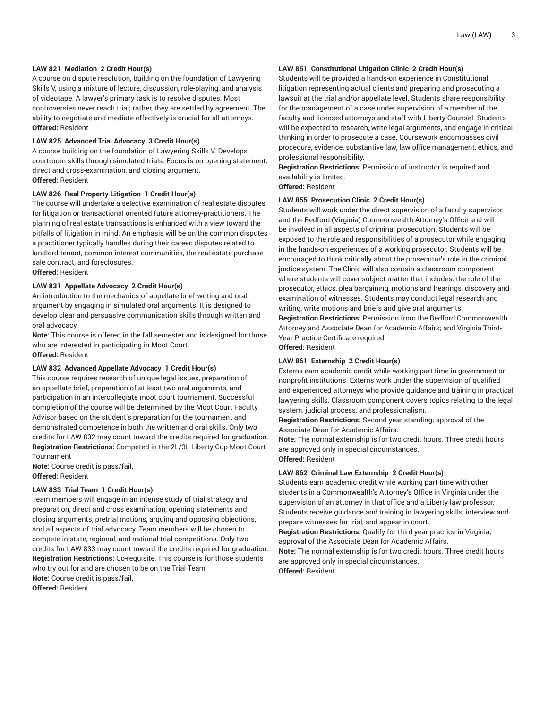## **LAW 821 Mediation 2 Credit Hour(s)**

A course on dispute resolution, building on the foundation of Lawyering Skills V, using a mixture of lecture, discussion, role-playing, and analysis of videotape. A lawyer's primary task is to resolve disputes. Most controversies never reach trial; rather, they are settled by agreement. The ability to negotiate and mediate effectively is crucial for all attorneys. **Offered:** Resident

# **LAW 825 Advanced Trial Advocacy 3 Credit Hour(s)**

A course building on the foundation of Lawyering Skills V. Develops courtroom skills through simulated trials. Focus is on opening statement, direct and cross-examination, and closing argument. **Offered:** Resident

# **LAW 826 Real Property Litigation 1 Credit Hour(s)**

The course will undertake a selective examination of real estate disputes for litigation or transactional oriented future attorney-practitioners. The planning of real estate transactions is enhanced with a view toward the pitfalls of litigation in mind. An emphasis will be on the common disputes a practitioner typically handles during their career: disputes related to landlord-tenant, common interest communities, the real estate purchasesale contract, and foreclosures.

**Offered:** Resident

# **LAW 831 Appellate Advocacy 2 Credit Hour(s)**

An introduction to the mechanics of appellate brief-writing and oral argument by engaging in simulated oral arguments. It is designed to develop clear and persuasive communication skills through written and oral advocacy.

**Note:** This course is offered in the fall semester and is designed for those who are interested in participating in Moot Court. **Offered:** Resident

#### **LAW 832 Advanced Appellate Advocacy 1 Credit Hour(s)**

This course requires research of unique legal issues, preparation of an appellate brief, preparation of at least two oral arguments, and participation in an intercollegiate moot court tournament. Successful completion of the course will be determined by the Moot Court Faculty Advisor based on the student's preparation for the tournament and demonstrated competence in both the written and oral skills. Only two credits for LAW 832 may count toward the credits required for graduation. **Registration Restrictions:** Competed in the 2L/3L Liberty Cup Moot Court Tournament

**Note:** Course credit is pass/fail. **Offered:** Resident

# **LAW 833 Trial Team 1 Credit Hour(s)**

Team members will engage in an intense study of trial strategy and preparation, direct and cross examination, opening statements and closing arguments, pretrial motions, arguing and opposing objections, and all aspects of trial advocacy. Team members will be chosen to compete in state, regional, and national trial competitions. Only two credits for LAW 833 may count toward the credits required for graduation. **Registration Restrictions:** Co-requisite, This course is for those students who try out for and are chosen to be on the Trial Team **Note:** Course credit is pass/fail. **Offered:** Resident

# **LAW 851 Constitutional Litigation Clinic 2 Credit Hour(s)**

Students will be provided a hands-on experience in Constitutional litigation representing actual clients and preparing and prosecuting a lawsuit at the trial and/or appellate level. Students share responsibility for the management of a case under supervision of a member of the faculty and licensed attorneys and staff with Liberty Counsel. Students will be expected to research, write legal arguments, and engage in critical thinking in order to prosecute a case. Coursework encompasses civil procedure, evidence, substantive law, law office management, ethics, and professional responsibility.

**Registration Restrictions:** Permission of instructor is required and availability is limited.

**Offered:** Resident

#### **LAW 855 Prosecution Clinic 2 Credit Hour(s)**

Students will work under the direct supervision of a faculty supervisor and the Bedford (Virginia) Commonwealth Attorney's Office and will be involved in all aspects of criminal prosecution. Students will be exposed to the role and responsibilities of a prosecutor while engaging in the hands-on experiences of a working prosecutor. Students will be encouraged to think critically about the prosecutor's role in the criminal justice system. The Clinic will also contain a classroom component where students will cover subject matter that includes: the role of the prosecutor, ethics, plea bargaining, motions and hearings, discovery and examination of witnesses. Students may conduct legal research and writing, write motions and briefs and give oral arguments. **Registration Restrictions:** Permission from the Bedford Commonwealth

Attorney and Associate Dean for Academic Affairs; and Virginia Third-Year Practice Certificate required.

**Offered:** Resident

# **LAW 861 Externship 2 Credit Hour(s)**

Externs earn academic credit while working part time in government or nonprofit institutions. Externs work under the supervision of qualified and experienced attorneys who provide guidance and training in practical lawyering skills. Classroom component covers topics relating to the legal system, judicial process, and professionalism.

**Registration Restrictions:** Second year standing; approval of the Associate Dean for Academic Affairs.

**Note:** The normal externship is for two credit hours. Three credit hours are approved only in special circumstances. **Offered:** Resident

#### **LAW 862 Criminal Law Externship 2 Credit Hour(s)**

Students earn academic credit while working part time with other students in a Commonwealth's Attorney's Office in Virginia under the supervision of an attorney in that office and a Liberty law professor. Students receive guidance and training in lawyering skills, interview and prepare witnesses for trial, and appear in court.

**Registration Restrictions:** Qualify for third year practice in Virginia; approval of the Associate Dean for Academic Affairs.

**Note:** The normal externship is for two credit hours. Three credit hours are approved only in special circumstances. **Offered:** Resident